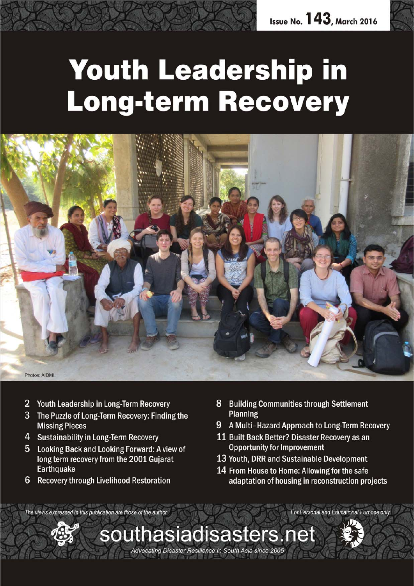

# **Youth Leadership in** Long-term Recovery



southasiadisasters.net

Advocating Disaster Resilience in South Asia since 2005

- $\overline{2}$ Youth Leadership in Long-Term Recovery
- 3 The Puzzle of Long-Term Recovery: Finding the **Missing Pieces**
- 4 Sustainability in Long-Term Recovery
- 5 Looking Back and Looking Forward: A view of long term recovery from the 2001 Gujarat **Earthquake**
- $6\phantom{1}6$ **Recovery through Livelihood Restoration**
- **Building Communities through Settlement** 8 **Planning**
- 9 A Multi-Hazard Approach to Long-Term Recovery
- 11 Built Back Better? Disaster Recovery as an **Opportunity for Improvement**
- 13 Youth, DRR and Sustainable Development
- 14 From House to Home: Allowing for the safe adaptation of housing in reconstruction projects

For Personal and Educational Purpose only

The views expressed in this publication are those of the author.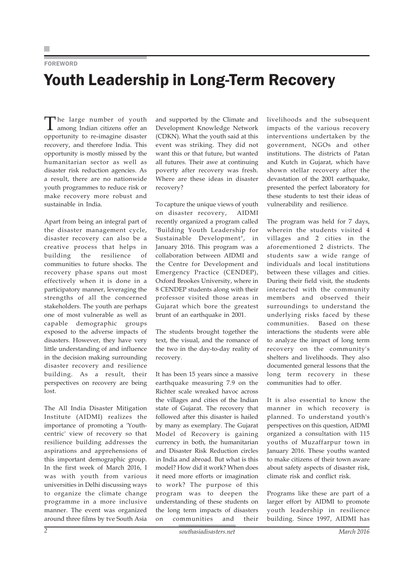**FOREWORD** 

## Youth Leadership in Long-Term Recovery

The large number of youth among Indian citizens offer an opportunity to re-imagine disaster recovery, and therefore India. This opportunity is mostly missed by the humanitarian sector as well as disaster risk reduction agencies. As a result, there are no nationwide youth programmes to reduce risk or make recovery more robust and sustainable in India.

Apart from being an integral part of the disaster management cycle, disaster recovery can also be a creative process that helps in building the resilience of communities to future shocks. The recovery phase spans out most effectively when it is done in a participatory manner, leveraging the strengths of all the concerned stakeholders. The youth are perhaps one of most vulnerable as well as capable demographic groups exposed to the adverse impacts of disasters. However, they have very little understanding of and influence in the decision making surrounding disaster recovery and resilience building. As a result, their perspectives on recovery are being lost.

The All India Disaster Mitigation Institute (AIDMI) realizes the importance of promoting a 'Youthcentric' view of recovery so that resilience building addresses the aspirations and apprehensions of this important demographic group. In the first week of March 2016, I was with youth from various universities in Delhi discussing ways to organize the climate change programme in a more inclusive manner. The event was organized around three films by tve South Asia and supported by the Climate and Development Knowledge Network (CDKN). What the youth said at this event was striking. They did not want this or that future, but wanted all futures. Their awe at continuing poverty after recovery was fresh. Where are these ideas in disaster recovery?

To capture the unique views of youth on disaster recovery, AIDMI recently organized a program called 'Building Youth Leadership for Sustainable Development", in January 2016. This program was a collaboration between AIDMI and the Centre for Development and Emergency Practice (CENDEP), Oxford Brookes University, where in 8 CENDEP students along with their professor visited those areas in Gujarat which bore the greatest brunt of an earthquake in 2001.

The students brought together the text, the visual, and the romance of the two in the day-to-day reality of recovery.

It has been 15 years since a massive earthquake measuring 7.9 on the Richter scale wreaked havoc across the villages and cities of the Indian state of Gujarat. The recovery that followed after this disaster is hailed by many as exemplary. The Gujarat Model of Recovery is gaining currency in both, the humanitarian and Disaster Risk Reduction circles in India and abroad. But what is this model? How did it work? When does it need more efforts or imagination to work? The purpose of this program was to deepen the understanding of these students on the long term impacts of disasters on communities and their livelihoods and the subsequent impacts of the various recovery interventions undertaken by the government, NGOs and other institutions. The districts of Patan and Kutch in Gujarat, which have shown stellar recovery after the devastation of the 2001 earthquake, presented the perfect laboratory for these students to test their ideas of vulnerability and resilience.

The program was held for 7 days, wherein the students visited 4 villages and 2 cities in the aforementioned 2 districts. The students saw a wide range of individuals and local institutions between these villages and cities. During their field visit, the students interacted with the community members and observed their surroundings to understand the underlying risks faced by these communities. Based on these interactions the students were able to analyze the impact of long term recovery on the community's shelters and livelihoods. They also documented general lessons that the long term recovery in these communities had to offer.

It is also essential to know the manner in which recovery is planned. To understand youth's perspectives on this question, AIDMI organized a consultation with 115 youths of Muzaffarpur town in January 2016. These youths wanted to make citizens of their town aware about safety aspects of disaster risk, climate risk and conflict risk.

Programs like these are part of a larger effort by AIDMI to promote youth leadership in resilience building. Since 1997, AIDMI has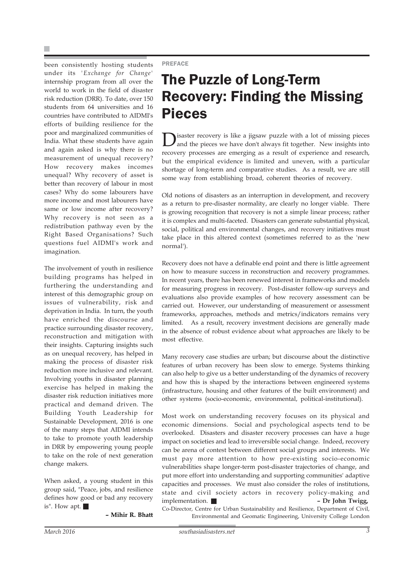×

been consistently hosting students under its *'Exchange for Change'* internship program from all over the world to work in the field of disaster risk reduction (DRR). To date, over 150 students from 64 universities and 16 countries have contributed to AIDMI's efforts of building resilience for the poor and marginalized communities of India. What these students have again and again asked is why there is no measurement of unequal recovery? How recovery makes incomes unequal? Why recovery of asset is better than recovery of labour in most cases? Why do some labourers have more income and most labourers have same or low income after recovery? Why recovery is not seen as a redistribution pathway even by the Right Based Organisations? Such questions fuel AIDMI's work and imagination.

The involvement of youth in resilience building programs has helped in furthering the understanding and interest of this demographic group on issues of vulnerability, risk and deprivation in India. In turn, the youth have enriched the discourse and practice surrounding disaster recovery, reconstruction and mitigation with their insights. Capturing insights such as on unequal recovery, has helped in making the process of disaster risk reduction more inclusive and relevant. Involving youths in disaster planning exercise has helped in making the disaster risk reduction initiatives more practical and demand driven. The Building Youth Leadership for Sustainable Development, 2016 is one of the many steps that AIDMI intends to take to promote youth leadership in DRR by empowering young people to take on the role of next generation change makers.

When asked, a young student in this group said, "Peace, jobs, and resilience defines how good or bad any recovery is". How apt.

**– Mihir R. Bhatt**

PREFACE

### The Puzzle of Long-Term Recovery: Finding the Missing Pieces

 $\sum$ isaster recovery is like a jigsaw puzzle with a lot of missing pieces and the pieces we have don't always fit together. New insights into recovery processes are emerging as a result of experience and research, but the empirical evidence is limited and uneven, with a particular shortage of long-term and comparative studies. As a result, we are still some way from establishing broad, coherent theories of recovery.

Old notions of disasters as an interruption in development, and recovery as a return to pre-disaster normality, are clearly no longer viable. There is growing recognition that recovery is not a simple linear process; rather it is complex and multi-faceted. Disasters can generate substantial physical, social, political and environmental changes, and recovery initiatives must take place in this altered context (sometimes referred to as the 'new normal').

Recovery does not have a definable end point and there is little agreement on how to measure success in reconstruction and recovery programmes. In recent years, there has been renewed interest in frameworks and models for measuring progress in recovery. Post-disaster follow-up surveys and evaluations also provide examples of how recovery assessment can be carried out. However, our understanding of measurement or assessment frameworks, approaches, methods and metrics/indicators remains very limited. As a result, recovery investment decisions are generally made in the absence of robust evidence about what approaches are likely to be most effective.

Many recovery case studies are urban; but discourse about the distinctive features of urban recovery has been slow to emerge. Systems thinking can also help to give us a better understanding of the dynamics of recovery and how this is shaped by the interactions between engineered systems (infrastructure, housing and other features of the built environment) and other systems (socio-economic, environmental, political-institutional).

Most work on understanding recovery focuses on its physical and economic dimensions. Social and psychological aspects tend to be overlooked. Disasters and disaster recovery processes can have a huge impact on societies and lead to irreversible social change. Indeed, recovery can be arena of contest between different social groups and interests. We must pay more attention to how pre-existing socio-economic vulnerabilities shape longer-term post-disaster trajectories of change, and put more effort into understanding and supporting communities' adaptive capacities and processes. We must also consider the roles of institutions, state and civil society actors in recovery policy-making and implementation. **– Dr John Twigg,**

Co-Director, Centre for Urban Sustainability and Resilience, Department of Civil, Environmental and Geomatic Engineering, University College London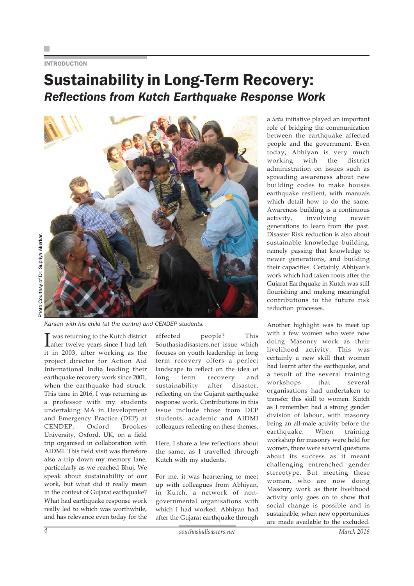#### **INTRODUCTION**

### Sustainability in Long-Term Recovery: *Reflections from Kutch Earthquake Response Work*



*Karsan with his child (at the centre) and CENDEP students.*

I was returning to the Kutch district<br>
after twelve years since I had left was returning to the Kutch district it in 2003, after working as the project director for Action Aid International India leading their earthquake recovery work since 2001, when the earthquake had struck. This time in 2016, I was returning as a professor with my students undertaking MA in Development and Emergency Practice (DEP) at CENDEP, Oxford Brookes University, Oxford, UK, on a field trip organised in collaboration with AIDMI. This field visit was therefore also a trip down my memory lane, particularly as we reached Bhuj. We speak about sustainability of our work, but what did it really mean in the context of Gujarat earthquake? What had earthquake response work really led to which was worthwhile, and has relevance even today for the

affected people? This Southasiadisasters.net issue which focuses on youth leadership in long term recovery offers a perfect landscape to reflect on the idea of long term recovery and sustainability after disaster, reflecting on the Gujarat earthquake response work. Contributions in this issue include those from DEP students, academic and AIDMI colleagues reflecting on these themes.

Here, I share a few reflections about the same, as I travelled through Kutch with my students.

For me, it was heartening to meet up with colleagues from Abhiyan, in Kutch, a network of nongovernmental organisations with which I had worked. Abhiyan had after the Gujarat earthquake through a *Setu* initiative played an important role of bridging the communication between the earthquake affected people and the government. Even today, Abhiyan is very much working with the district administration on issues such as spreading awareness about new building codes to make houses earthquake resilient, with manuals which detail how to do the same. Awareness building is a continuous activity, involving newer generations to learn from the past. Disaster Risk reduction is also about sustainable knowledge building, namely passing that knowledge to newer generations, and building their capacities. Certainly Abhiyan's work which had taken roots after the Gujarat Earthquake in Kutch was still flourishing and making meaningful contributions to the future risk reduction processes.

Another highlight was to meet up with a few women who were now doing Masonry work as their livelihood activity. This was certainly a new skill that women had learnt after the earthquake, and a result of the several training workshops that several organisations had undertaken to transfer this skill to women. Kutch as I remember had a strong gender division of labour, with masonry being an all-male activity before the earthquake. When training workshop for masonry were held for women, there were several questions about its success as it meant challenging entrenched gender stereotype. But meeting these women, who are now doing Masonry work as their livelihood activity only goes on to show that social change is possible and is sustainable, when new opportunities are made available to the excluded.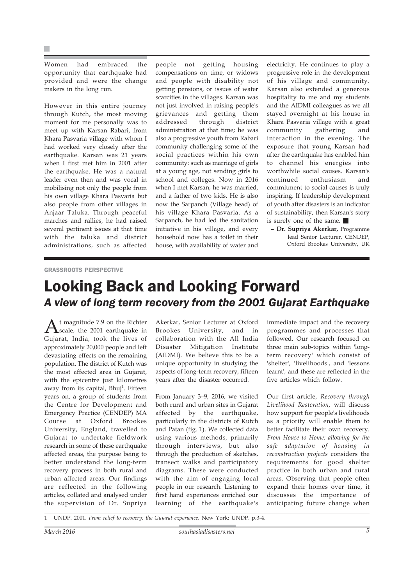Women had embraced the opportunity that earthquake had provided and were the change makers in the long run.

However in this entire journey through Kutch, the most moving moment for me personally was to meet up with Karsan Rabari, from Khara Pasvaria village with whom I had worked very closely after the earthquake. Karsan was 21 years when I first met him in 2001 after the earthquake. He was a natural leader even then and was vocal in mobilising not only the people from his own village Khara Pasvaria but also people from other villages in Anjaar Taluka. Through peaceful marches and rallies, he had raised several pertinent issues at that time with the taluka and district administrations, such as affected people not getting housing compensations on time, or widows and people with disability not getting pensions, or issues of water scarcities in the villages. Karsan was not just involved in raising people's grievances and getting them addressed through district administration at that time; he was also a progressive youth from Rabari community challenging some of the social practices within his own community: such as marriage of girls at a young age, not sending girls to school and colleges. Now in 2016 when I met Karsan, he was married, and a father of two kids. He is also now the Sarpanch (Village head) of his village Khara Pasvaria. As a Sarpanch, he had led the sanitation initiative in his village, and every household now has a toilet in their house, with availability of water and

electricity. He continues to play a progressive role in the development of his village and community. Karsan also extended a generous hospitality to me and my students and the AIDMI colleagues as we all stayed overnight at his house in Khara Pasvaria village with a great community gathering and interaction in the evening. The exposure that young Karsan had after the earthquake has enabled him to channel his energies into worthwhile social causes. Karsan's continued enthusiasm and commitment to social causes is truly inspiring. If leadership development of youth after disasters is an indicator of sustainability, then Karsan's story is surely one of the same.

**– Dr. Supriya Akerkar,** Programme lead Senior Lecturer, CENDEP, Oxford Brookes University, UK

#### GRASSROOTS PERSPECTIVE

### Looking Back and Looking Forward *A view of long term recovery from the 2001 Gujarat Earthquake*

A<sup>t</sup> magnitude 7.9 on the Richter<br>scale, the 2001 earthquake in Gujarat, India, took the lives of approximately 20,000 people and left devastating effects on the remaining population. The district of Kutch was the most affected area in Gujarat, with the epicentre just kilometres away from its capital, Bhuj<sup>1</sup>. Fifteen years on, a group of students from the Centre for Development and Emergency Practice (CENDEP) MA Course at Oxford Brookes University, England, travelled to Gujarat to undertake fieldwork research in some of these earthquake affected areas, the purpose being to better understand the long-term recovery process in both rural and urban affected areas. Our findings are reflected in the following articles, collated and analysed under the supervision of Dr. Supriya

Akerkar, Senior Lecturer at Oxford Brookes University, and in collaboration with the All India Disaster Mitigation Institute (AIDMI). We believe this to be a unique opportunity in studying the aspects of long-term recovery, fifteen years after the disaster occurred.

From January 3–9, 2016, we visited both rural and urban sites in Gujarat affected by the earthquake, particularly in the districts of Kutch and Patan (fig. 1). We collected data using various methods, primarily through interviews, but also through the production of sketches, transect walks and participatory diagrams. These were conducted with the aim of engaging local people in our research. Listening to first hand experiences enriched our learning of the earthquake's

immediate impact and the recovery programmes and processes that followed. Our research focused on three main sub-topics within 'longterm recovery' which consist of 'shelter', 'livelihoods', and 'lessons learnt', and these are reflected in the five articles which follow.

Our first article, *Recovery through Livelihood Restoration,* will discuss how support for people's livelihoods as a priority will enable them to better facilitate their own recovery. *From House to Home: allowing for the safe adaptation of housing in reconstruction projects* considers the requirements for good shelter practice in both urban and rural areas. Observing that people often expand their homes over time, it discusses the importance of anticipating future change when

1 UNDP. 2001. *From relief to recovery: the Gujarat experience.* New York: UNDP. p.3-4.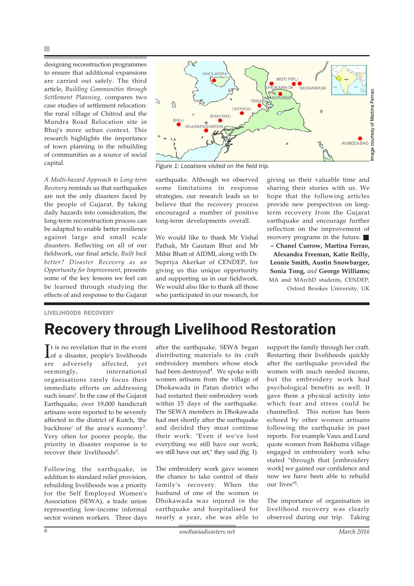designing reconstruction programmes to ensure that additional expansions are carried out safely. The third article, *Building Communities through Settlement Planning,* compares two case studies of settlement relocation: the rural village of Chitrod and the Mundra Road Relocation site in Bhuj's more urban context. This research highlights the importance of town planning in the rebuilding of communities as a source of social capital.

*A Multi-hazard Approach to Long-term Recovery* reminds us that earthquakes are not the only disasters faced by the people of Gujarat. By taking daily hazards into consideration, the long-term reconstruction process can be adapted to enable better resilience against large and small scale disasters. Reflecting on all of our fieldwork, our final article, *Built back better? Disaster Recovery as an Opportunity for Improvement,* presents some of the key lessons we feel can be learned through studying the effects of and response to the Gujarat



*Figure 1: Locations visited on the field trip.*

earthquake. Although we observed some limitations in response strategies, our research leads us to believe that the recovery process encouraged a number of positive long-term developments overall.

We would like to thank Mr Vishal Pathak, Mr Gautam Bhut and Mr Mihir Bhatt of AIDMI, along with Dr. Supriya Akerkar of CENDEP, for giving us this unique opportunity and supporting us in our fieldwork. We would also like to thank all those who participated in our research, for

giving us their valuable time and sharing their stories with us. We hope that the following articles provide new perspectives on longterm recovery from the Gujarat earthquake and encourage further reflection on the improvement of recovery programs in the future. **– Chanel Currow, Martina Ferrao, Alexandra Freeman, Katie Reilly, Leonie Smith, Austin Snowbarger, Sonia Tong,** *and* **George Williams;**

MA and MArchD students, CENDEP,

Oxford Brookes University, UK

#### LIVELIHOODS RECOVERY

### Recovery through Livelihood Restoration

It is no revelation that in the event<br>Iof a disaster, people's livelihoods  $\mathbf{T}$ t is no revelation that in the event are adversely affected, yet seemingly, international organisations rarely focus their immediate efforts on addressing such issues<sup>1</sup>. In the case of the Gujarat Earthquake, over 19,000 handicraft artisans were reported to be severely affected in the district of Kutch, 'the backbone' of the area's economy2. Very often for poorer people, the priority in disaster response is to recover their livelihoods<sup>3</sup>.

Following the earthquake, in addition to standard relief provision, rebuilding livelihoods was a priority for the Self Employed Women's Association (SEWA), a trade union representing low-income informal sector women workers. Three days after the earthquake, SEWA began distributing materials to its craft embroidery members whose stock had been destroyed<sup>4</sup>. We spoke with women artisans from the village of Dhokawada in Patan district who had restarted their embroidery work within 15 days of the earthquake. The SEWA members in Dhokawada had met shortly after the earthquake and decided they must continue their work: "Even if we've lost everything we still have our work; we still have our art," they said (fig. 1).

The embroidery work gave women the chance to take control of their family's recovery. When the husband of one of the women in Dhokawada was injured in the earthquake and hospitalised for nearly a year, she was able to

support the family through her craft. Restarting their livelihoods quickly after the earthquake provided the women with much needed income, but the embroidery work had psychological benefits as well. It gave them a physical activity into which fear and stress could be channelled. This notion has been echoed by other women artisans following the earthquake in past reports. For example Vaux and Lund quote women from Bakhutra village engaged in embroidery work who stated "through that [embroidery work] we gained our confidence and now we have been able to rebuild our lives"5.

The importance of organisation in livelihood recovery was clearly observed during our trip. Taking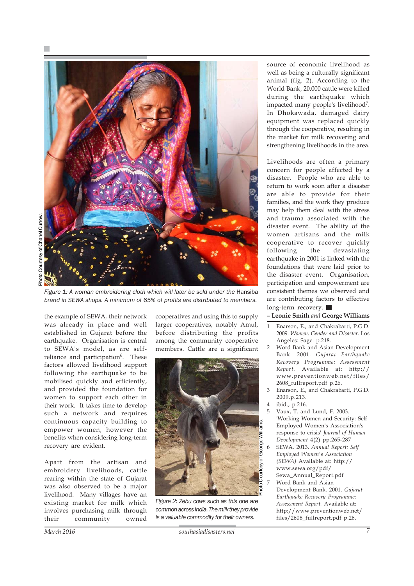

Figure 1: A woman embroidering cloth which will later be sold under the Hansiba *brand in SEWA shops. A minimum of 65% of profits are distributed to members.*

the example of SEWA, their network was already in place and well established in Gujarat before the earthquake. Organisation is central to SEWA's model, as are selfreliance and participation<sup>6</sup>. These factors allowed livelihood support following the earthquake to be mobilised quickly and efficiently, and provided the foundation for women to support each other in their work. It takes time to develop such a network and requires continuous capacity building to empower women, however the benefits when considering long-term recovery are evident.

Apart from the artisan and embroidery livelihoods, cattle rearing within the state of Gujarat was also observed to be a major livelihood. Many villages have an existing market for milk which involves purchasing milk through their community owned cooperatives and using this to supply larger cooperatives, notably Amul, before distributing the profits among the community cooperative members. Cattle are a significant



*Figure 2: Zebu cows such as this one are common across India. The milk they provide is a valuable commodity for their owners.*

source of economic livelihood as well as being a culturally significant animal (fig. 2). According to the World Bank, 20,000 cattle were killed during the earthquake which impacted many people's livelihood7. In Dhokawada, damaged dairy equipment was replaced quickly through the cooperative, resulting in the market for milk recovering and strengthening livelihoods in the area.

Livelihoods are often a primary concern for people affected by a disaster. People who are able to return to work soon after a disaster are able to provide for their families, and the work they produce may help them deal with the stress and trauma associated with the disaster event. The ability of the women artisans and the milk cooperative to recover quickly following the devastating earthquake in 2001 is linked with the foundations that were laid prior to the disaster event. Organisation, participation and empowerment are consistent themes we observed and are contributing factors to effective long-term recovery.

**– Leonie Smith** *and* **George Williams**

- 1 Enarson, E., and Chakrabarti, P.G.D. 2009. *Women, Gender and Disaster.* Los Angeles: Sage. p.218.
- 2 Word Bank and Asian Development Bank. 2001. *Gujarat Earthquake Recovery Programme: Assessment Report.* Available at: http:// www.preventionweb.net/files/ 2608\_fullreport.pdf p.26.
- 3 Enarson, E., and Chakrabarti, P.G.D. 2009.p.213.
- 4 ibid., p.216.
- 5 Vaux, T. and Lund, F. 2003. 'Working Women and Security: Self Employed Women's Association's response to crisis' *Journal of Human Development* 4(2) pp.265-287
	- 6 SEWA. 2013. *Annual Report: Self Employed Women's Association (SEWA)* Available at: http:// www.sewa.org/pdf/
	- Sewa\_Annual\_Report.pdf Word Bank and Asian Development Bank. 2001. *Gujarat Earthquake Recovery Programme: Assessment Report.* Available at: http://www.preventionweb.net/ files/2608\_fullreport.pdf p.26.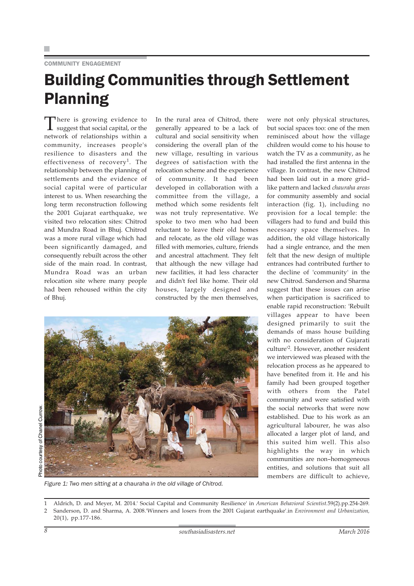#### COMMUNITY ENGAGEMENT

### Building Communities through Settlement Planning

There is growing evidence to<br>suggest that social capital, or the network of relationships within a community, increases people's resilience to disasters and the effectiveness of recovery<sup>1</sup>. The relationship between the planning of settlements and the evidence of social capital were of particular interest to us. When researching the long term reconstruction following the 2001 Gujarat earthquake, we visited two relocation sites: Chitrod and Mundra Road in Bhuj. Chitrod was a more rural village which had been significantly damaged, and consequently rebuilt across the other side of the main road. In contrast, Mundra Road was an urban relocation site where many people had been rehoused within the city of Bhuj.

In the rural area of Chitrod, there generally appeared to be a lack of cultural and social sensitivity when considering the overall plan of the new village, resulting in various degrees of satisfaction with the relocation scheme and the experience of community. It had been developed in collaboration with a committee from the village, a method which some residents felt was not truly representative. We spoke to two men who had been reluctant to leave their old homes and relocate, as the old village was filled with memories, culture, friends and ancestral attachment. They felt that although the new village had new facilities, it had less character and didn't feel like home. Their old houses, largely designed and constructed by the men themselves,

Photo courtesy of Chanel Currow.courtesy of Chanel Currow. oto



*Figure 1: Two men sitting at a* chauraha *in the old village of Chitrod.*

were not only physical structures, but social spaces too: one of the men reminisced about how the village children would come to his house to watch the TV as a community, as he had installed the first antenna in the village. In contrast, the new Chitrod had been laid out in a more grid– like pattern and lacked *chauraha areas* for community assembly and social interaction (fig. 1), including no provision for a local temple: the villagers had to fund and build this necessary space themselves. In addition, the old village historically had a single entrance, and the men felt that the new design of multiple entrances had contributed further to the decline of 'community' in the new Chitrod. Sanderson and Sharma suggest that these issues can arise when participation is sacrificed to enable rapid reconstruction: 'Rebuilt villages appear to have been designed primarily to suit the demands of mass house building with no consideration of Gujarati culture'2. However, another resident we interviewed was pleased with the relocation process as he appeared to have benefited from it. He and his family had been grouped together with others from the Patel community and were satisfied with the social networks that were now established. Due to his work as an agricultural labourer, he was also allocated a larger plot of land, and this suited him well. This also highlights the way in which communities are non–homogeneous entities, and solutions that suit all members are difficult to achieve,

1 Aldrich, D. and Meyer, M. 2014.' Social Capital and Community Resilience' in *American Behavioral Scientist.*59(2).pp.254-269.

2 Sanderson, D. and Sharma, A. 2008.'Winners and losers from the 2001 Gujarat earthquake'.in *Environment and Urbanization,* 20(1), pp.177-186.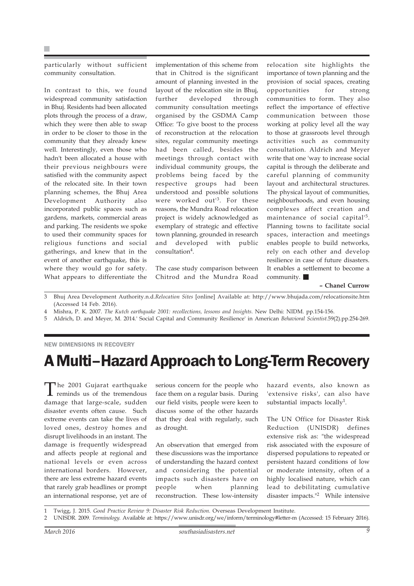particularly without sufficient community consultation.

In contrast to this, we found widespread community satisfaction in Bhuj. Residents had been allocated plots through the process of a draw, which they were then able to swap in order to be closer to those in the community that they already knew well. Interestingly, even those who hadn't been allocated a house with their previous neighbours were satisfied with the community aspect of the relocated site. In their town planning schemes, the Bhuj Area Development Authority also incorporated public spaces such as gardens, markets, commercial areas and parking. The residents we spoke to used their community spaces for religious functions and social gatherings, and knew that in the event of another earthquake, this is where they would go for safety. What appears to differentiate the

implementation of this scheme from that in Chitrod is the significant amount of planning invested in the layout of the relocation site in Bhuj, further developed through community consultation meetings organised by the GSDMA Camp Office: 'To give boost to the process of reconstruction at the relocation sites, regular community meetings had been called, besides the meetings through contact with individual community groups, the problems being faced by the respective groups had been understood and possible solutions were worked out'3. For these reasons, the Mundra Road relocation project is widely acknowledged as exemplary of strategic and effective town planning, grounded in research and developed with public consultation<sup>4</sup>.

The case study comparison between Chitrod and the Mundra Road

relocation site highlights the importance of town planning and the provision of social spaces, creating opportunities for strong communities to form. They also reflect the importance of effective communication between those working at policy level all the way to those at grassroots level through activities such as community consultation. Aldrich and Meyer write that one 'way to increase social capital is through the deliberate and careful planning of community layout and architectural structures. The physical layout of communities, neighbourhoods, and even housing complexes affect creation and maintenance of social capital'5. Planning towns to facilitate social spaces, interaction and meetings enables people to build networks, rely on each other and develop resilience in case of future disasters. It enables a settlement to become a community.

**– Chanel Currow**

- 3 Bhuj Area Development Authority.n.d.*Relocation Sites* [online] Available at: http://www.bhujada.com/relocationsite.htm (Accessed 14 Feb. 2016).
- 4 Mishra, P. K. 2007. *The Kutch earthquake 2001: recollections, lessons and Insights.* New Delhi: NIDM. pp.154-156.
- 5 Aldrich, D. and Meyer, M. 2014.' Social Capital and Community Resilience' in American *Behavioral Scientist.*59(2).pp.254-269.

#### NEW DIMENSIONS IN RECOVERY

### A Multi–Hazard Approach to Long-Term Recovery

The 2001 Gujarat earthquake reminds us of the tremendous damage that large-scale, sudden disaster events often cause. Such extreme events can take the lives of loved ones, destroy homes and disrupt livelihoods in an instant. The damage is frequently widespread and affects people at regional and national levels or even across international borders. However, there are less extreme hazard events that rarely grab headlines or prompt an international response, yet are of

serious concern for the people who face them on a regular basis. During our field visits, people were keen to discuss some of the other hazards that they deal with regularly, such as drought.

An observation that emerged from these discussions was the importance of understanding the hazard context and considering the potential impacts such disasters have on people when planning reconstruction. These low-intensity

hazard events, also known as 'extensive risks', can also have substantial impacts locally<sup>1</sup>.

The UN Office for Disaster Risk Reduction (UNISDR) defines extensive risk as: "the widespread risk associated with the exposure of dispersed populations to repeated or persistent hazard conditions of low or moderate intensity, often of a highly localised nature, which can lead to debilitating cumulative disaster impacts."2 While intensive

1 Twigg, J. 2015. *Good Practice Review 9: Disaster Risk Reduction.* Overseas Development Institute.

<sup>2</sup> UNISDR. 2009. *Terminology.* Available at: https://www.unisdr.org/we/inform/terminology#letter-m (Accessed: 15 February 2016).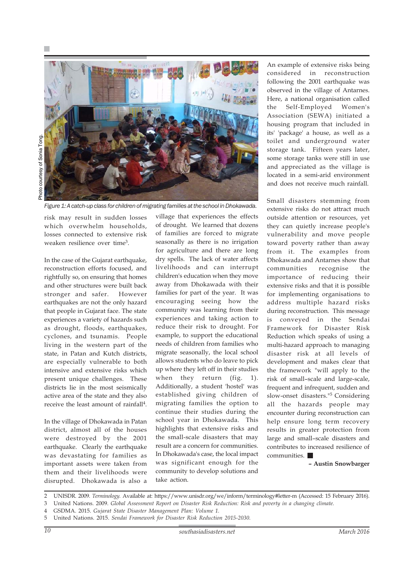

*Figure 1: A catch-up class for children of migrating families at the school in Dhokawada.*

risk may result in sudden losses which overwhelm households, losses connected to extensive risk weaken resilience over time3.

In the case of the Gujarat earthquake, reconstruction efforts focused, and rightfully so, on ensuring that homes and other structures were built back stronger and safer. However earthquakes are not the only hazard that people in Gujarat face. The state experiences a variety of hazards such as drought, floods, earthquakes, cyclones, and tsunamis. People living in the western part of the state, in Patan and Kutch districts, are especially vulnerable to both intensive and extensive risks which present unique challenges. These districts lie in the most seismically active area of the state and they also receive the least amount of rainfall4.

In the village of Dhokawada in Patan district, almost all of the houses were destroyed by the 2001 earthquake. Clearly the earthquake was devastating for families as important assets were taken from them and their livelihoods were disrupted. Dhokawada is also a

village that experiences the effects of drought. We learned that dozens of families are forced to migrate seasonally as there is no irrigation for agriculture and there are long dry spells. The lack of water affects livelihoods and can interrupt children's education when they move away from Dhokawada with their families for part of the year. It was encouraging seeing how the community was learning from their experiences and taking action to reduce their risk to drought. For example, to support the educational needs of children from families who migrate seasonally, the local school allows students who do leave to pick up where they left off in their studies when they return (fig. 1). Additionally, a student 'hostel' was established giving children of migrating families the option to continue their studies during the school year in Dhokawada. This highlights that extensive risks and the small-scale disasters that may result are a concern for communities. In Dhokawada's case, the local impact was significant enough for the community to develop solutions and take action.

An example of extensive risks being considered in reconstruction following the 2001 earthquake was observed in the village of Antarnes. Here, a national organisation called the Self-Employed Women's Association (SEWA) initiated a housing program that included in its' 'package' a house, as well as a toilet and underground water storage tank. Fifteen years later, some storage tanks were still in use and appreciated as the village is located in a semi-arid environment and does not receive much rainfall.

Small disasters stemming from extensive risks do not attract much outside attention or resources, yet they can quietly increase people's vulnerability and move people toward poverty rather than away from it. The examples from Dhokawada and Antarnes show that communities recognise the importance of reducing their extensive risks and that it is possible for implementing organisations to address multiple hazard risks during reconstruction. This message is conveyed in the Sendai Framework for Disaster Risk Reduction which speaks of using a multi-hazard approach to managing disaster risk at all levels of development and makes clear that the framework "will apply to the risk of small–scale and large-scale, frequent and infrequent, sudden and slow-onset disasters."5 Considering all the hazards people may encounter during reconstruction can help ensure long term recovery results in greater protection from large and small–scale disasters and contributes to increased resilience of communities.

**– Austin Snowbarger**

2 UNISDR. 2009. *Terminology.* Available at: https://www.unisdr.org/we/inform/terminology#letter-m (Accessed: 15 February 2016).

3 United Nations. 2009. *Global Assessment Report on Disaster Risk Reduction: Risk and poverty in a changing climate.*

4 GSDMA. 2015. *Gujarat State Disaster Management Plan: Volume 1.*

5 United Nations. 2015. *Sendai Framework for Disaster Risk Reduction 2015-2030.*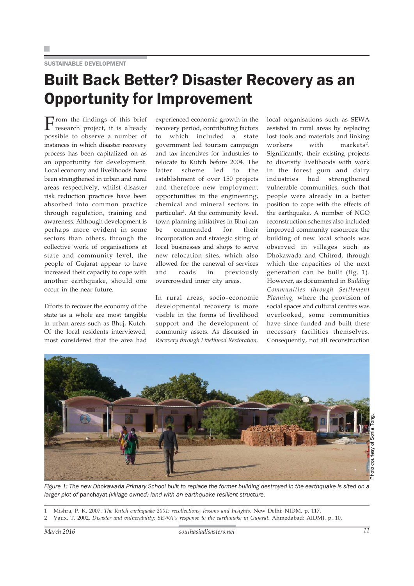#### SUSTAINABLE DEVELOPMENT

### Built Back Better? Disaster Recovery as an Opportunity for Improvement

From the findings of this brief research project, it is already possible to observe a number of instances in which disaster recovery process has been capitalized on as an opportunity for development. Local economy and livelihoods have been strengthened in urban and rural areas respectively, whilst disaster risk reduction practices have been absorbed into common practice through regulation, training and awareness. Although development is perhaps more evident in some sectors than others, through the collective work of organisations at state and community level, the people of Gujarat appear to have increased their capacity to cope with another earthquake, should one occur in the near future.

Efforts to recover the economy of the state as a whole are most tangible in urban areas such as Bhuj, Kutch. Of the local residents interviewed, most considered that the area had experienced economic growth in the recovery period, contributing factors to which included a state government led tourism campaign and tax incentives for industries to relocate to Kutch before 2004. The latter scheme led to the establishment of over 150 projects and therefore new employment opportunities in the engineering, chemical and mineral sectors in particular<sup>1</sup>. At the community level, town planning initiatives in Bhuj can be commended for their incorporation and strategic siting of local businesses and shops to serve new relocation sites, which also allowed for the renewal of services and roads in previously overcrowded inner city areas.

In rural areas, socio–economic developmental recovery is more visible in the forms of livelihood support and the development of community assets. As discussed in *Recovery through Livelihood Restoration,*

local organisations such as SEWA assisted in rural areas by replacing lost tools and materials and linking workers with markets<sup>2</sup>. Significantly, their existing projects to diversify livelihoods with work in the forest gum and dairy industries had strengthened vulnerable communities, such that people were already in a better position to cope with the effects of the earthquake. A number of NGO reconstruction schemes also included improved community resources: the building of new local schools was observed in villages such as Dhokawada and Chitrod, through which the capacities of the next generation can be built (fig. 1). However, as documented in *Building Communities through Settlement Planning,* where the provision of social spaces and cultural centres was overlooked, some communities have since funded and built these necessary facilities themselves. Consequently, not all reconstruction



*Figure 1: The new Dhokawada Primary School built to replace the former building destroyed in the earthquake is sited on a larger plot of* panchayat *(village owned) land with an earthquake resilient structure.*

- 1 Mishra, P. K. 2007. *The Kutch earthquake 2001: recollections, lessons and Insights.* New Delhi: NIDM. p. 117.
- 2 Vaux, T. 2002. *Disaster and vulnerability: SEWA's response to the earthquake in Gujarat.* Ahmedabad: AIDMI. p. 10.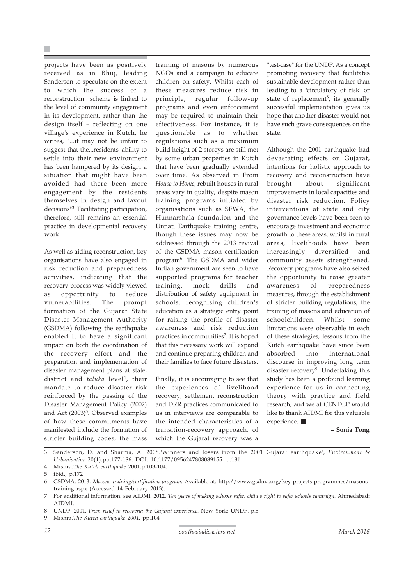projects have been as positively received as in Bhuj, leading Sanderson to speculate on the extent to which the success of a reconstruction scheme is linked to the level of community engagement in its development, rather than the design itself – reflecting on one village's experience in Kutch, he writes, "...it may not be unfair to suggest that the...residents' ability to settle into their new environment has been hampered by its design, a situation that might have been avoided had there been more engagement by the residents themselves in design and layout decisions"3. Facilitating participation, therefore, still remains an essential practice in developmental recovery work.

As well as aiding reconstruction, key organisations have also engaged in risk reduction and preparedness activities, indicating that the recovery process was widely viewed as opportunity to reduce vulnerabilities. The prompt formation of the Gujarat State Disaster Management Authority (GSDMA) following the earthquake enabled it to have a significant impact on both the coordination of the recovery effort and the preparation and implementation of disaster management plans at state, district and *taluka* level<sup>4</sup>, their mandate to reduce disaster risk reinforced by the passing of the Disaster Management Policy (2002) and Act (2003)<sup>5</sup>. Observed examples of how these commitments have manifested include the formation of stricter building codes, the mass

training of masons by numerous NGOs and a campaign to educate children on safety. Whilst each of these measures reduce risk in principle, regular follow-up programs and even enforcement may be required to maintain their effectiveness. For instance, it is questionable as to whether regulations such as a maximum build height of 2 storeys are still met by some urban properties in Kutch that have been gradually extended over time. As observed in From *House to Home,* rebuilt houses in rural areas vary in quality, despite mason training programs initiated by organisations such as SEWA, the Hunnarshala foundation and the Unnati Earthquake training centre, though these issues may now be addressed through the 2013 revival of the GSDMA mason certification program6. The GSDMA and wider Indian government are seen to have supported programs for teacher training, mock drills and distribution of safety equipment in schools, recognising children's education as a strategic entry point for raising the profile of disaster awareness and risk reduction practices in communities<sup>7</sup>. It is hoped that this necessary work will expand and continue preparing children and their families to face future disasters.

Finally, it is encouraging to see that the experiences of livelihood recovery, settlement reconstruction and DRR practices communicated to us in interviews are comparable to the intended characteristics of a transition-recovery approach, of which the Gujarat recovery was a

"test-case" for the UNDP. As a concept promoting recovery that facilitates sustainable development rather than leading to a 'circulatory of risk' or state of replacement<sup>8</sup>, its generally successful implementation gives us hope that another disaster would not have such grave consequences on the state.

Although the 2001 earthquake had devastating effects on Gujarat, intentions for holistic approach to recovery and reconstruction have brought about significant improvements in local capacities and disaster risk reduction. Policy interventions at state and city governance levels have been seen to encourage investment and economic growth to these areas, whilst in rural areas, livelihoods have been increasingly diversified and community assets strengthened. Recovery programs have also seized the opportunity to raise greater awareness of preparedness measures, through the establishment of stricter building regulations, the training of masons and education of schoolchildren. Whilst some limitations were observable in each of these strategies, lessons from the Kutch earthquake have since been absorbed into international discourse in improving long term disaster recovery<sup>9</sup>. Undertaking this study has been a profound learning experience for us in connecting theory with practice and field research, and we at CENDEP would like to thank AIDMI for this valuable experience.

**– Sonia Tong**

3 Sanderson, D. and Sharma, A. 2008.'Winners and losers from the 2001 Gujarat earthquake', *Environment & Urbanisation*.20(1).pp.177-186. DOI: 10.1177/0956247808089155. p.181

4 Mishra.*The Kutch earthquake* 2001.p.103-104.

<sup>5</sup> ibid., p.172

<sup>6</sup> GSDMA. 2013. *Masons training/certification program.* Available at: http://www.gsdma.org/key-projects-programmes/masonstraining.aspx (Accessed 14 February 2013).

<sup>7</sup> For additional information, see AIDMI. 2012. *Ten years of making schools safer: child's right to safer schools campaign.* Ahmedabad: AIDMI.

<sup>8</sup> UNDP. 2001. *From relief to recovery: the Gujarat experience.* New York: UNDP. p.5

<sup>9</sup> Mishra.*The Kutch earthquake 2001.* pp.104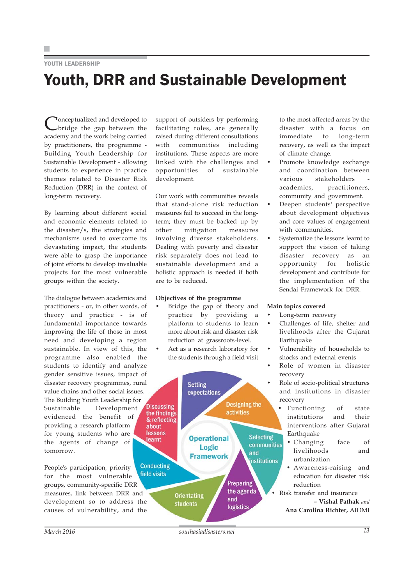#### YOUTH I FADERSHIP

### Youth, DRR and Sustainable Development

Conceptualized and developed to<br>
Up the gap between the academy and the work being carried by practitioners, the programme - Building Youth Leadership for Sustainable Development - allowing students to experience in practice themes related to Disaster Risk Reduction (DRR) in the context of long-term recovery.

By learning about different social and economic elements related to the disaster/s, the strategies and mechanisms used to overcome its devastating impact, the students were able to grasp the importance of joint efforts to develop invaluable projects for the most vulnerable groups within the society.

The dialogue between academics and practitioners - or, in other words, of theory and practice - is of fundamental importance towards improving the life of those in most need and developing a region sustainable. In view of this, the programme also enabled the students to identify and analyze gender sensitive issues, impact of disaster recovery programmes, rural value chains and other social issues. The Building Youth Leadership for Sustainable Development evidenced the benefit of providing a research platform for young students who are the agents of change of tomorrow.

People's participation, priority for the most vulnerable groups, community-specific DRR measures, link between DRR and development so to address the causes of vulnerability, and the support of outsiders by performing facilitating roles, are generally raised during different consultations with communities including institutions. These aspects are more linked with the challenges and opportunities of sustainable development.

Our work with communities reveals that stand-alone risk reduction measures fail to succeed in the longterm; they must be backed up by other mitigation measures involving diverse stakeholders. Dealing with poverty and disaster risk separately does not lead to sustainable development and a holistic approach is needed if both are to be reduced.

#### **Objectives of the programme**

- Bridge the gap of theory and practice by providing a platform to students to learn more about risk and disaster risk reduction at grassroots-level.
- Act as a research laboratory for the students through a field visit



to the most affected areas by the disaster with a focus on immediate to long-term recovery, as well as the impact of climate change.

- Promote knowledge exchange and coordination between various stakeholders academics, practitioners, community and government.
- Deepen students' perspective about development objectives and core values of engagement with communities.
- Systematize the lessons learnt to support the vision of taking disaster recovery as an opportunity for holistic development and contribute for the implementation of the Sendai Framework for DRR.

#### **Main topics covered**

- Long-term recovery
- Challenges of life, shelter and livelihoods after the Gujarat Earthquake
- Vulnerability of households to shocks and external events
- Role of women in disaster recovery
- Role of socio-political structures and institutions in disaster recovery
	- Functioning of state institutions and their interventions after Gujarat Earthquake
		- Changing face of livelihoods and urbanization
		- Awareness-raising and education for disaster risk reduction

• Risk transfer and insurance **– Vishal Pathak** *and* **Ana Carolina Richter,** AIDMI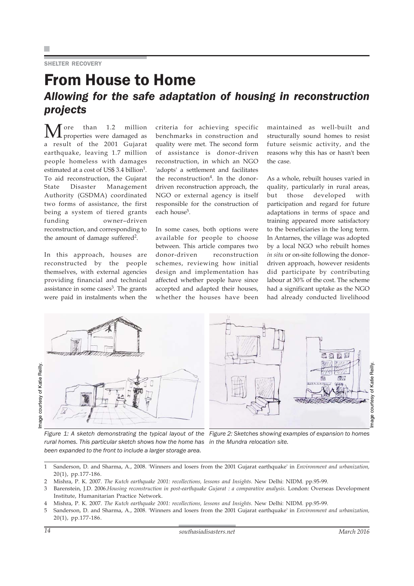#### SHELTER RECOVERY

### From House to Home *Allowing for the safe adaptation of housing in reconstruction projects*

 $\mathbf{M}$  ore than 1.2 million a result of the 2001 Gujarat earthquake, leaving 1.7 million people homeless with damages estimated at a cost of US\$ 3.4 billion<sup>1</sup>. To aid reconstruction, the Gujarat State Disaster Management Authority (GSDMA) coordinated two forms of assistance, the first being a system of tiered grants funding owner–driven reconstruction, and corresponding to the amount of damage suffered<sup>2</sup>.

In this approach, houses are reconstructed by the people themselves, with external agencies providing financial and technical assistance in some cases<sup>3</sup>. The grants were paid in instalments when the criteria for achieving specific benchmarks in construction and quality were met. The second form of assistance is donor-driven reconstruction, in which an NGO 'adopts' a settlement and facilitates the reconstruction<sup>4</sup>. In the donordriven reconstruction approach, the NGO or external agency is itself responsible for the construction of each house<sup>5</sup>.

In some cases, both options were available for people to choose between. This article compares two donor-driven reconstruction schemes, reviewing how initial design and implementation has affected whether people have since accepted and adapted their houses, whether the houses have been maintained as well-built and structurally sound homes to resist future seismic activity, and the reasons why this has or hasn't been the case.

As a whole, rebuilt houses varied in quality, particularly in rural areas, but those developed with participation and regard for future adaptations in terms of space and training appeared more satisfactory to the beneficiaries in the long term. In Antarnes, the village was adopted by a local NGO who rebuilt homes *in situ* or on-site following the donordriven approach, however residents did participate by contributing labour at 30% of the cost. The scheme had a significant uptake as the NGO had already conducted livelihood







*Figure 2: Sketches showing examples of expansion to homes in the Mundra relocation site.*

- 1 Sanderson, D. and Sharma, A., 2008. 'Winners and losers from the 2001 Gujarat earthquake' in *Environment and urbanization,* 20(1), pp.177-186.
- 2 Mishra, P. K. 2007. *The Kutch earthquake 2001: recollections, lessons and Insights.* New Delhi: NIDM. pp.95-99.
- 3 Barenstein, J.D. 2006.*Housing reconstruction in post-earthquake Gujarat : a comparative analysis.* London: Overseas Development Institute, Humanitarian Practice Network.
- 4 Mishra, P. K. 2007. *The Kutch earthquake 2001: recollections, lessons and Insights.* New Delhi: NIDM. pp.95-99.
- 5 Sanderson, D. and Sharma, A., 2008. 'Winners and losers from the 2001 Gujarat earthquake' in *Environment and urbanization,* 20(1), pp.177-186.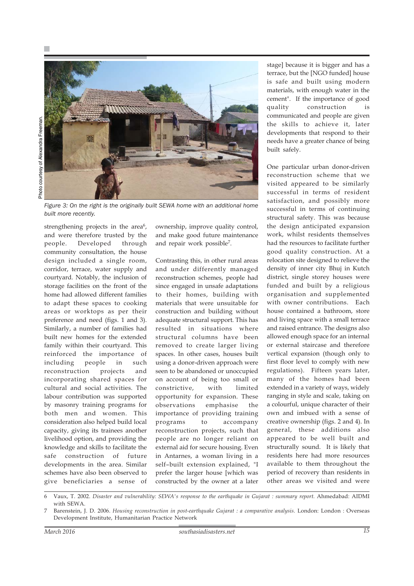

Photo courtesy of Alexandra Freeman. Photo courtesy of Alexandra Freeman.

*Figure 3: On the right is the originally built SEWA home with an additional home built more recently.*

strengthening projects in the area<sup>6</sup>, and were therefore trusted by the people. Developed through community consultation, the house design included a single room, corridor, terrace, water supply and courtyard. Notably, the inclusion of storage facilities on the front of the home had allowed different families to adapt these spaces to cooking areas or worktops as per their preference and need (figs. 1 and 3). Similarly, a number of families had built new homes for the extended family within their courtyard. This reinforced the importance of including people in such reconstruction projects and incorporating shared spaces for cultural and social activities. The labour contribution was supported by masonry training programs for both men and women. This consideration also helped build local capacity, giving its trainees another livelihood option, and providing the knowledge and skills to facilitate the safe construction of future developments in the area. Similar schemes have also been observed to give beneficiaries a sense of

ownership, improve quality control, and make good future maintenance and repair work possible7.

Contrasting this, in other rural areas and under differently managed reconstruction schemes, people had since engaged in unsafe adaptations to their homes, building with materials that were unsuitable for construction and building without adequate structural support. This has resulted in situations where structural columns have been removed to create larger living spaces. In other cases, houses built using a donor-driven approach were seen to be abandoned or unoccupied on account of being too small or constrictive, with limited opportunity for expansion. These observations emphasise the importance of providing training programs to accompany reconstruction projects, such that people are no longer reliant on external aid for secure housing. Even in Antarnes, a woman living in a self–built extension explained, "I prefer the larger house [which was constructed by the owner at a later

stage] because it is bigger and has a terrace, but the [NGO funded] house is safe and built using modern materials, with enough water in the cement". If the importance of good quality construction is communicated and people are given the skills to achieve it, later developments that respond to their needs have a greater chance of being built safely.

One particular urban donor-driven reconstruction scheme that we visited appeared to be similarly successful in terms of resident satisfaction, and possibly more successful in terms of continuing structural safety. This was because the design anticipated expansion work, whilst residents themselves had the resources to facilitate further good quality construction. At a relocation site designed to relieve the density of inner city Bhuj in Kutch district, single storey houses were funded and built by a religious organisation and supplemented with owner contributions. Each house contained a bathroom, store and living space with a small terrace and raised entrance. The designs also allowed enough space for an internal or external staircase and therefore vertical expansion (though only to first floor level to comply with new regulations). Fifteen years later, many of the homes had been extended in a variety of ways, widely ranging in style and scale, taking on a colourful, unique character of their own and imbued with a sense of creative ownership (figs. 2 and 4). In general, these additions also appeared to be well built and structurally sound. It is likely that residents here had more resources available to them throughout the period of recovery than residents in other areas we visited and were

<sup>6</sup> Vaux, T. 2002. *Disaster and vulnerability: SEWA's response to the earthquake in Gujarat : summary report.* Ahmedabad: AIDMI with SEWA.

<sup>7</sup> Barenstein, J. D. 2006. *Housing reconstruction in post-earthquake Gujarat : a comparative analysis.* London: London : Overseas Development Institute, Humanitarian Practice Network